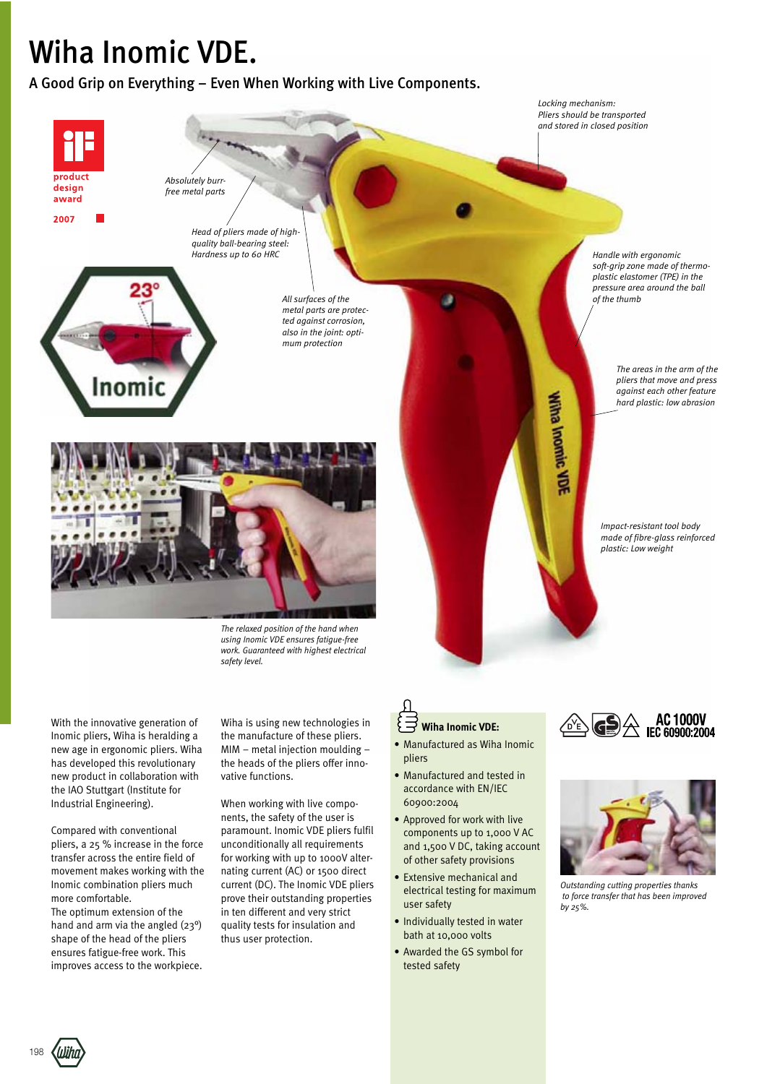## Wiha Inomic VDE.

A Good Grip on Everything – Even When Working with Live Components.



*The relaxed position of the hand when using Inomic VDE ensures fatigue-free work. Guaranteed with highest electrical safety level.*

With the innovative generation of Inomic pliers, Wiha is heralding a new age in ergonomic pliers. Wiha has developed this revolutionary new product in collaboration with the IAO Stuttgart (Institute for Industrial Engineering).

Compared with conventional pliers, a 25 % increase in the force transfer across the entire field of movement makes working with the Inomic combination pliers much more comfortable. The optimum extension of the hand and arm via the angled (23°) shape of the head of the pliers ensures fatigue-free work. This improves access to the workpiece.

Wiha is using new technologies in the manufacture of these pliers. MIM – metal injection moulding – the heads of the pliers offer innovative functions.

When working with live components, the safety of the user is paramount. Inomic VDE pliers fulfil unconditionally all requirements for working with up to 1000V alternating current (AC) or 1500 direct current (DC). The Inomic VDE pliers prove their outstanding properties in ten different and very strict quality tests for insulation and thus user protection.

## **Wiha Inomic VDE:**

- Manufactured as Wiha Inomic pliers
- Manufactured and tested in accordance with EN/IEC 60900:2004
- Approved for work with live components up to 1,000 V AC and 1,500 V DC, taking account of other safety provisions
- Extensive mechanical and electrical testing for maximum user safety
- Individually tested in water bath at 10,000 volts
- Awarded the GS symbol for tested safety





*Outstanding cutting properties thanks to force transfer that has been improved by 25%.*